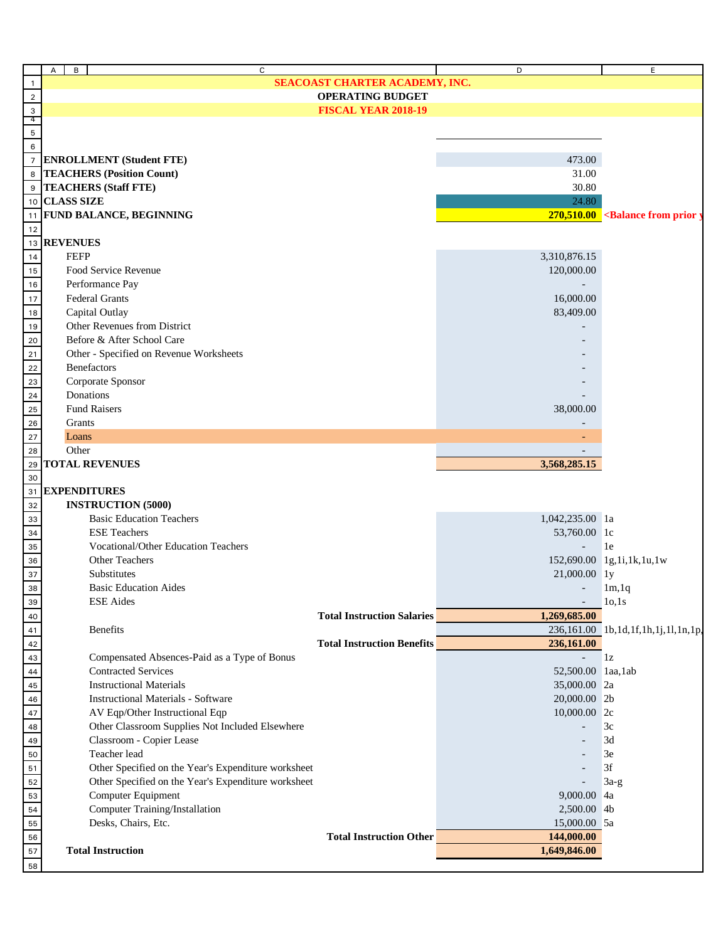| $\mathsf{A}$<br>B<br>C                                      |                                   | D                        | E                                                        |
|-------------------------------------------------------------|-----------------------------------|--------------------------|----------------------------------------------------------|
| $\mathbf{1}$                                                | SEACOAST CHARTER ACADEMY, INC.    |                          |                                                          |
| $\overline{2}$                                              | <b>OPERATING BUDGET</b>           |                          |                                                          |
| $\mathbf{3}$                                                | <b>FISCAL YEAR 2018-19</b>        |                          |                                                          |
| 4                                                           |                                   |                          |                                                          |
| $\mathbf 5$                                                 |                                   |                          |                                                          |
| 6                                                           |                                   |                          |                                                          |
| $\overline{7}$<br><b>ENROLLMENT</b> (Student FTE)           |                                   | 473.00                   |                                                          |
| <b>TEACHERS (Position Count)</b><br>8                       |                                   | 31.00                    |                                                          |
| 9<br><b>TEACHERS (Staff FTE)</b>                            |                                   | 30.80                    |                                                          |
| <b>CLASS SIZE</b><br>10                                     |                                   | 24.80                    |                                                          |
| <b>FUND BALANCE, BEGINNING</b><br>11                        |                                   |                          | $270,510.00$ <balance from="" prior<="" td=""></balance> |
| 12                                                          |                                   |                          |                                                          |
| <b>REVENUES</b><br>13                                       |                                   |                          |                                                          |
| <b>FEFP</b><br>14                                           |                                   | 3,310,876.15             |                                                          |
| Food Service Revenue<br>15                                  |                                   | 120,000.00               |                                                          |
| Performance Pay<br>16                                       |                                   |                          |                                                          |
| Federal Grants<br>17                                        |                                   | 16,000.00                |                                                          |
| Capital Outlay<br>$18\,$                                    |                                   | 83,409.00                |                                                          |
| Other Revenues from District<br>19                          |                                   |                          |                                                          |
| Before & After School Care<br>20                            |                                   |                          |                                                          |
| Other - Specified on Revenue Worksheets<br>21               |                                   |                          |                                                          |
| Benefactors<br>22                                           |                                   |                          |                                                          |
| Corporate Sponsor<br>23                                     |                                   |                          |                                                          |
| Donations<br>${\bf 24}$                                     |                                   |                          |                                                          |
| <b>Fund Raisers</b><br>25                                   |                                   | 38,000.00                |                                                          |
| ${\bf 26}$<br>Grants                                        |                                   |                          |                                                          |
| 27<br>Loans                                                 |                                   |                          |                                                          |
| Other<br>28                                                 |                                   |                          |                                                          |
| <b>TOTAL REVENUES</b><br>29                                 |                                   | 3,568,285.15             |                                                          |
| 30                                                          |                                   |                          |                                                          |
| <b>EXPENDITURES</b><br>31                                   |                                   |                          |                                                          |
| <b>INSTRUCTION (5000)</b><br>32                             |                                   |                          |                                                          |
| <b>Basic Education Teachers</b><br>33                       |                                   | 1,042,235.00 la          |                                                          |
| <b>ESE Teachers</b><br>34                                   |                                   | 53,760.00 1c             |                                                          |
| <b>Vocational/Other Education Teachers</b><br>35            |                                   | $\overline{\phantom{a}}$ | 1e                                                       |
| <b>Other Teachers</b><br>36                                 |                                   |                          | 152,690.00 1g,1i,1k,1u,1w                                |
| Substitutes<br>37                                           |                                   | 21,000.00 ly             |                                                          |
| <b>Basic Education Aides</b><br>38                          |                                   |                          | 1m, 1q                                                   |
| <b>ESE</b> Aides<br>39                                      |                                   |                          | 10,1s                                                    |
| 40                                                          | <b>Total Instruction Salaries</b> | 1,269,685.00             |                                                          |
| Benefits<br>41                                              |                                   |                          | 236,161.00 1b,1d,1f,1h,1j,1l,1n,1p,                      |
| 42                                                          | <b>Total Instruction Benefits</b> | 236,161.00               |                                                          |
| 43<br>Compensated Absences-Paid as a Type of Bonus          |                                   |                          | 1z                                                       |
| 44<br><b>Contracted Services</b>                            |                                   | 52,500.00 laa, lab       |                                                          |
| <b>Instructional Materials</b><br>$\bf 45$                  |                                   | 35,000.00 2a             |                                                          |
| <b>Instructional Materials - Software</b><br>${\bf 46}$     |                                   | 20,000.00 2b             |                                                          |
| AV Eqp/Other Instructional Eqp<br>$47\,$                    |                                   | 10,000.00 2c             |                                                          |
| Other Classroom Supplies Not Included Elsewhere<br>$\bf 48$ |                                   |                          | 3c                                                       |
| Classroom - Copier Lease<br>49                              |                                   |                          | 3d                                                       |
| Teacher lead<br>50                                          |                                   |                          | 3e                                                       |
| Other Specified on the Year's Expenditure worksheet         |                                   |                          | 3f                                                       |
| 51                                                          |                                   |                          |                                                          |
| Other Specified on the Year's Expenditure worksheet<br>52   |                                   |                          | $3a-g$                                                   |
| Computer Equipment<br>53                                    |                                   | 9,000.00 4a              |                                                          |
| Computer Training/Installation<br>54                        |                                   | 2,500.00 4b              |                                                          |
| Desks, Chairs, Etc.<br>55                                   |                                   | 15,000.00 5a             |                                                          |
| 56                                                          | <b>Total Instruction Other</b>    | 144,000.00               |                                                          |
| <b>Total Instruction</b><br>${\bf 57}$                      |                                   | 1,649,846.00             |                                                          |
| 58                                                          |                                   |                          |                                                          |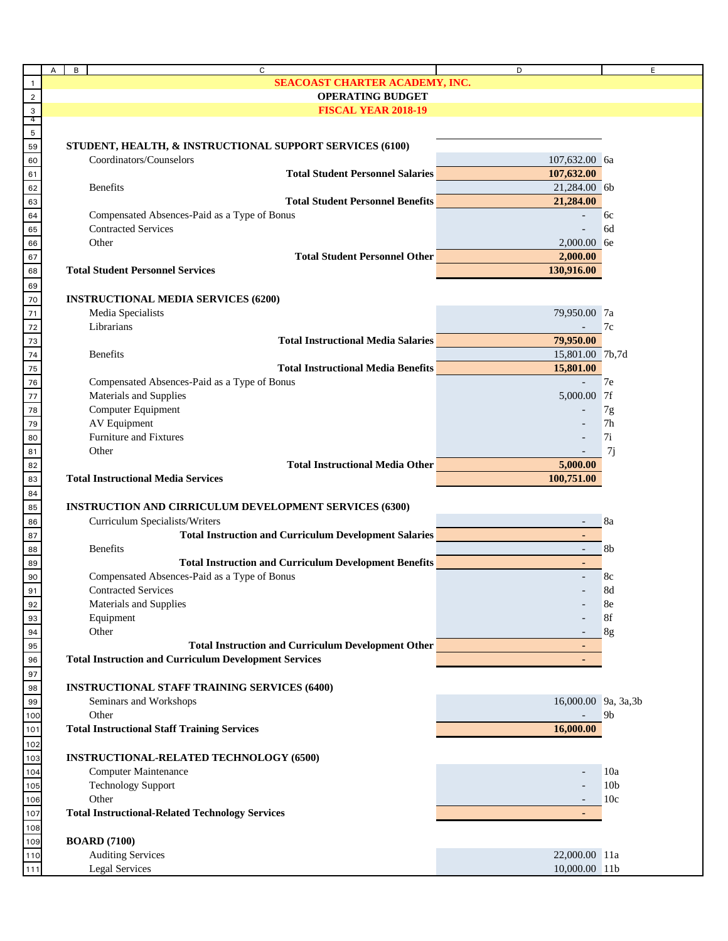|                                                        | $\mathsf{A}$<br>B | C                                                                                                                     | D                        | E.              |
|--------------------------------------------------------|-------------------|-----------------------------------------------------------------------------------------------------------------------|--------------------------|-----------------|
| $\overline{1}$                                         |                   | SEACOAST CHARTER ACADEMY, INC.                                                                                        |                          |                 |
|                                                        |                   | <b>OPERATING BUDGET</b>                                                                                               |                          |                 |
| $\begin{array}{r} 2 \\ 3 \\ \hline 4 \\ 5 \end{array}$ |                   | <b>FISCAL YEAR 2018-19</b>                                                                                            |                          |                 |
|                                                        |                   |                                                                                                                       |                          |                 |
|                                                        |                   |                                                                                                                       |                          |                 |
| 59                                                     |                   | STUDENT, HEALTH, & INSTRUCTIONAL SUPPORT SERVICES (6100)                                                              |                          |                 |
| 60                                                     |                   | Coordinators/Counselors                                                                                               | 107,632.00 6a            |                 |
| 61                                                     |                   | <b>Total Student Personnel Salaries</b>                                                                               | 107,632.00               |                 |
| 62                                                     |                   | <b>Benefits</b>                                                                                                       | 21,284.00 6b             |                 |
| 63                                                     |                   | <b>Total Student Personnel Benefits</b>                                                                               | 21,284.00                |                 |
| 64                                                     |                   | Compensated Absences-Paid as a Type of Bonus                                                                          | $\overline{\phantom{a}}$ | 6c              |
| 65                                                     |                   | <b>Contracted Services</b>                                                                                            | $\overline{a}$           | 6d              |
| 66                                                     |                   | Other                                                                                                                 | 2,000.00 6e              |                 |
| 67                                                     |                   | <b>Total Student Personnel Other</b>                                                                                  | 2,000.00                 |                 |
| 68                                                     |                   | <b>Total Student Personnel Services</b>                                                                               | 130,916.00               |                 |
|                                                        |                   |                                                                                                                       |                          |                 |
| 69<br>70                                               |                   |                                                                                                                       |                          |                 |
|                                                        |                   | <b>INSTRUCTIONAL MEDIA SERVICES (6200)</b>                                                                            |                          |                 |
| $\overline{71}$                                        |                   | Media Specialists                                                                                                     | 79,950.00 7a             |                 |
|                                                        |                   | Librarians                                                                                                            | $\sim$                   | 7c              |
|                                                        |                   | <b>Total Instructional Media Salaries</b>                                                                             | 79,950.00                |                 |
|                                                        |                   | <b>Benefits</b>                                                                                                       | 15,801.00 7b,7d          |                 |
|                                                        |                   | <b>Total Instructional Media Benefits</b>                                                                             | 15,801.00                |                 |
|                                                        |                   | Compensated Absences-Paid as a Type of Bonus                                                                          | $\overline{\phantom{a}}$ | 7e              |
|                                                        |                   | Materials and Supplies                                                                                                | 5,000.00 7f              |                 |
|                                                        |                   | Computer Equipment                                                                                                    |                          | 7g              |
| 72<br>73<br>74<br>75<br>76<br>77<br>78<br>79           |                   | <b>AV Equipment</b>                                                                                                   |                          | 7 <sub>h</sub>  |
| 80                                                     |                   | <b>Furniture and Fixtures</b>                                                                                         |                          | 7i              |
| 81                                                     |                   | Other                                                                                                                 |                          | 7j              |
| 82                                                     |                   | <b>Total Instructional Media Other</b>                                                                                | 5,000.00                 |                 |
| 83                                                     |                   | <b>Total Instructional Media Services</b>                                                                             | 100,751.00               |                 |
| 84                                                     |                   |                                                                                                                       |                          |                 |
| 85                                                     |                   | <b>INSTRUCTION AND CIRRICULUM DEVELOPMENT SERVICES (6300)</b>                                                         |                          |                 |
|                                                        |                   | Curriculum Specialists/Writers                                                                                        |                          | 8a              |
| 86<br>87                                               |                   | Total Instruction and Curriculum Development Salaries <b>Constitution of the Constantine Constantine Constitution</b> |                          |                 |
|                                                        |                   | <b>Benefits</b>                                                                                                       |                          | 8 <sub>b</sub>  |
| 88                                                     |                   |                                                                                                                       | $\sim$                   |                 |
| 89                                                     |                   | <b>Total Instruction and Curriculum Development Benefits</b>                                                          | $\sim$                   |                 |
| 90                                                     |                   | Compensated Absences-Paid as a Type of Bonus                                                                          |                          | 8c              |
| 91                                                     |                   | <b>Contracted Services</b>                                                                                            |                          | 8d              |
| 92                                                     |                   | Materials and Supplies                                                                                                |                          | 8e              |
|                                                        |                   | Equipment                                                                                                             |                          | 8f              |
| $\frac{93}{94}$                                        |                   | Other                                                                                                                 |                          | 8g              |
|                                                        |                   | <b>Total Instruction and Curriculum Development Other</b>                                                             |                          |                 |
| 96                                                     |                   | <b>Total Instruction and Curriculum Development Services</b>                                                          |                          |                 |
| 97                                                     |                   |                                                                                                                       |                          |                 |
| 98                                                     |                   | <b>INSTRUCTIONAL STAFF TRAINING SERVICES (6400)</b>                                                                   |                          |                 |
| 99                                                     |                   | Seminars and Workshops                                                                                                | 16,000.00 9a, 3a, 3b     |                 |
| 100                                                    |                   | Other                                                                                                                 |                          | 9 <sub>b</sub>  |
| 101                                                    |                   | <b>Total Instructional Staff Training Services</b>                                                                    | 16,000.00                |                 |
| 102                                                    |                   |                                                                                                                       |                          |                 |
| 103                                                    |                   | <b>INSTRUCTIONAL-RELATED TECHNOLOGY (6500)</b>                                                                        |                          |                 |
| 104                                                    |                   | <b>Computer Maintenance</b>                                                                                           |                          | 10a             |
|                                                        |                   | <b>Technology Support</b>                                                                                             |                          | 10 <sub>b</sub> |
| 105                                                    |                   |                                                                                                                       |                          |                 |
| 106                                                    |                   | Other                                                                                                                 |                          | 10 <sub>c</sub> |
| 107                                                    |                   | <b>Total Instructional-Related Technology Services</b>                                                                |                          |                 |
| <u>108</u>                                             |                   |                                                                                                                       |                          |                 |
| 109                                                    |                   | <b>BOARD</b> (7100)                                                                                                   |                          |                 |
| <u>110</u>                                             |                   | <b>Auditing Services</b>                                                                                              | 22,000.00 11a            |                 |
| 111                                                    |                   | <b>Legal Services</b>                                                                                                 | 10,000.00 11b            |                 |
|                                                        |                   |                                                                                                                       |                          |                 |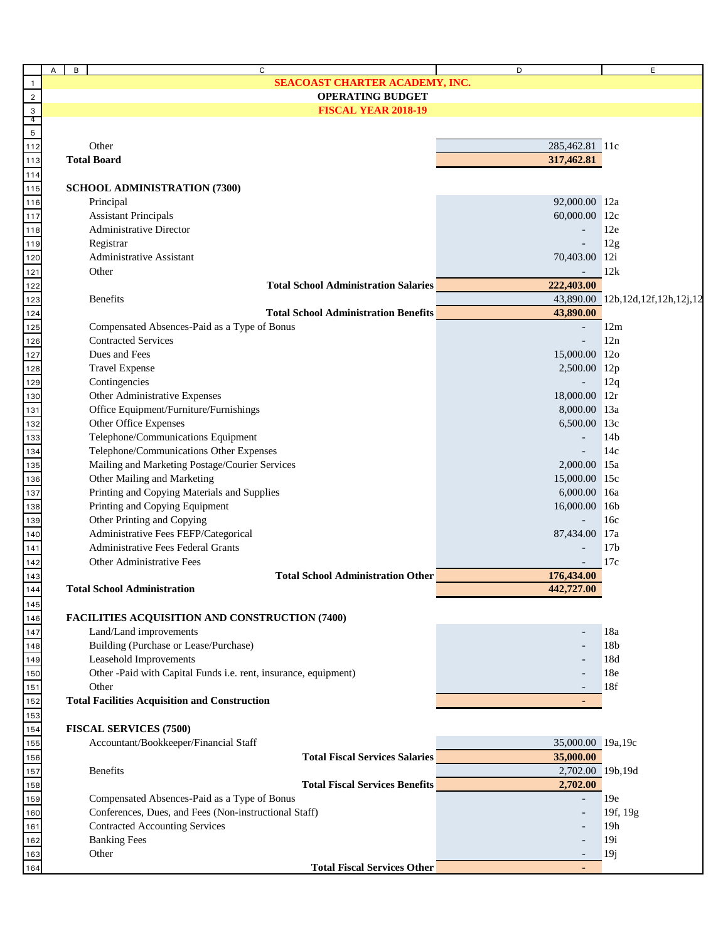|                                              | А<br>B                  | C                                                               | D                 | Е                                |  |
|----------------------------------------------|-------------------------|-----------------------------------------------------------------|-------------------|----------------------------------|--|
| $\overline{1}$                               |                         | SEACOAST CHARTER ACADEMY, INC.                                  |                   |                                  |  |
| $\sqrt{2}$                                   | <b>OPERATING BUDGET</b> |                                                                 |                   |                                  |  |
|                                              |                         | <b>FISCAL YEAR 2018-19</b>                                      |                   |                                  |  |
| $\begin{array}{c}\n3 \\ 4 \\ 5\n\end{array}$ |                         |                                                                 |                   |                                  |  |
|                                              |                         |                                                                 |                   |                                  |  |
| $112$                                        |                         | Other                                                           | 285,462.81 11c    |                                  |  |
| 113                                          |                         | <b>Total Board</b>                                              | 317,462.81        |                                  |  |
| 114                                          |                         |                                                                 |                   |                                  |  |
| 115                                          |                         | <b>SCHOOL ADMINISTRATION (7300)</b>                             |                   |                                  |  |
| 116                                          |                         | Principal                                                       | 92,000.00 12a     |                                  |  |
| $117$                                        |                         | <b>Assistant Principals</b>                                     | 60,000.00 12c     |                                  |  |
|                                              |                         | <b>Administrative Director</b>                                  |                   | 12e                              |  |
| 118                                          |                         | Registrar                                                       |                   | 12g                              |  |
| 119                                          |                         | <b>Administrative Assistant</b>                                 |                   |                                  |  |
| 120                                          |                         |                                                                 | 70,403.00 12i     |                                  |  |
| $121$                                        |                         | Other                                                           |                   | 12k                              |  |
| $122$                                        |                         | <b>Total School Administration Salaries</b>                     | 222,403.00        |                                  |  |
| 123                                          |                         | <b>Benefits</b>                                                 |                   | 43,890.00 12b,12d,12f,12h,12j,12 |  |
| 124                                          |                         | <b>Total School Administration Benefits</b>                     | 43,890.00         |                                  |  |
| 125                                          |                         | Compensated Absences-Paid as a Type of Bonus                    |                   | 12m                              |  |
| 126                                          |                         | <b>Contracted Services</b>                                      |                   | 12n                              |  |
| 127                                          |                         | Dues and Fees                                                   | 15,000.00 12o     |                                  |  |
| 128                                          |                         | <b>Travel Expense</b>                                           | 2,500.00 12p      |                                  |  |
| <u>129</u>                                   |                         | Contingencies                                                   |                   | 12q                              |  |
| 130                                          |                         | Other Administrative Expenses                                   | 18,000.00 12r     |                                  |  |
| 131                                          |                         | Office Equipment/Furniture/Furnishings                          | 8,000.00 13a      |                                  |  |
| 132                                          |                         | Other Office Expenses                                           | 6,500.00 13c      |                                  |  |
| <u>133</u>                                   |                         | Telephone/Communications Equipment                              |                   | 14 <sub>b</sub>                  |  |
| 134                                          |                         | Telephone/Communications Other Expenses                         |                   | 14c                              |  |
|                                              |                         | Mailing and Marketing Postage/Courier Services                  | 2,000.00 15a      |                                  |  |
| 135                                          |                         |                                                                 |                   |                                  |  |
| 136                                          |                         | Other Mailing and Marketing                                     | 15,000.00 15c     |                                  |  |
| 137                                          |                         | Printing and Copying Materials and Supplies                     | 6,000.00 16a      |                                  |  |
| 138                                          |                         | Printing and Copying Equipment                                  | 16,000.00 16b     |                                  |  |
| 139                                          |                         | Other Printing and Copying                                      |                   | 16c                              |  |
| 140                                          |                         | Administrative Fees FEFP/Categorical                            | 87,434.00 17a     |                                  |  |
| 141                                          |                         | <b>Administrative Fees Federal Grants</b>                       |                   | 17 <sub>b</sub>                  |  |
| 142                                          |                         | <b>Other Administrative Fees</b>                                |                   | 17c                              |  |
| 143                                          |                         | <b>Total School Administration Other</b>                        | 176,434.00        |                                  |  |
| 144                                          |                         | <b>Total School Administration</b>                              | 442,727.00        |                                  |  |
| 145                                          |                         |                                                                 |                   |                                  |  |
| 146                                          |                         | FACILITIES ACQUISITION AND CONSTRUCTION (7400)                  |                   |                                  |  |
| 147                                          |                         | Land/Land improvements                                          |                   | 18a                              |  |
| 148                                          |                         | Building (Purchase or Lease/Purchase)                           |                   | 18b                              |  |
|                                              |                         | Leasehold Improvements                                          |                   | 18d                              |  |
| 149<br>150                                   |                         | Other -Paid with Capital Funds i.e. rent, insurance, equipment) |                   | 18e                              |  |
|                                              |                         | Other                                                           |                   | 18f                              |  |
| 151                                          |                         | <b>Total Facilities Acquisition and Construction</b>            | $\sim$            |                                  |  |
| 152                                          |                         |                                                                 |                   |                                  |  |
| 153                                          |                         |                                                                 |                   |                                  |  |
| 154                                          |                         | <b>FISCAL SERVICES (7500)</b>                                   |                   |                                  |  |
| 155                                          |                         | Accountant/Bookkeeper/Financial Staff                           | 35,000.00 19a,19c |                                  |  |
| 156                                          |                         | <b>Total Fiscal Services Salaries</b>                           | 35,000.00         |                                  |  |
| 157                                          |                         | <b>Benefits</b>                                                 | 2,702.00 19b,19d  |                                  |  |
| 158                                          |                         | <b>Total Fiscal Services Benefits</b>                           | 2,702.00          |                                  |  |
| 159                                          |                         | Compensated Absences-Paid as a Type of Bonus                    |                   | 19e                              |  |
| 160                                          |                         | Conferences, Dues, and Fees (Non-instructional Staff)           |                   | 19f, 19g                         |  |
| 161                                          |                         | <b>Contracted Accounting Services</b>                           |                   | 19 <sub>h</sub>                  |  |
| 162                                          |                         | <b>Banking Fees</b>                                             |                   | 19i                              |  |
| 163                                          |                         | Other                                                           |                   | 19j                              |  |
| 164                                          |                         | <b>Total Fiscal Services Other</b>                              |                   |                                  |  |
|                                              |                         |                                                                 |                   |                                  |  |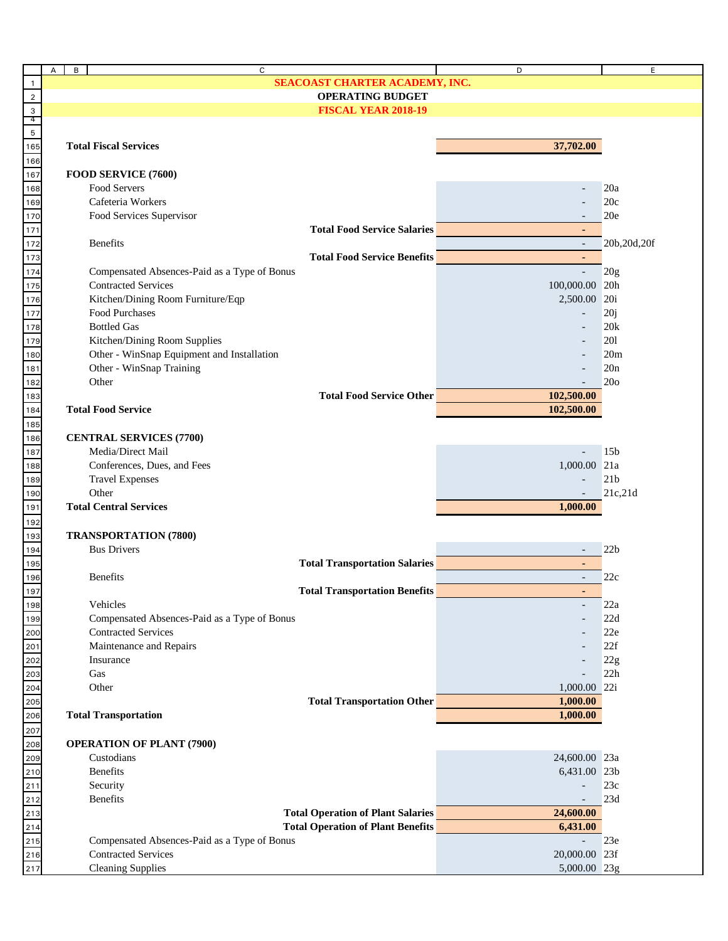| SEACOAST CHARTER ACADEMY, INC.<br>$\overline{1}$<br><b>OPERATING BUDGET</b><br>$\overline{2}$<br>$\begin{array}{c} 3 \\ 4 \\ 5 \end{array}$<br><b>FISCAL YEAR 2018-19</b><br>165<br>37,702.00<br><b>Total Fiscal Services</b><br>166<br>FOOD SERVICE (7600)<br>167<br>Food Servers<br>20a<br>168<br>Cafeteria Workers<br>20c<br>169<br>Food Services Supervisor<br>20e<br>170<br><b>Total Food Service Salaries</b><br>171<br>172<br><b>Benefits</b><br>$\mathbb{L}^{\mathbb{N}}$<br>20b, 20d, 20f<br>173<br><b>Total Food Service Benefits</b><br>٠<br>174<br>Compensated Absences-Paid as a Type of Bonus<br>$\mathbb{L}^+$<br>20g<br>175<br><b>Contracted Services</b><br>100,000.00 20h<br>176<br>Kitchen/Dining Room Furniture/Eqp<br>2,500.00 20i<br>177<br><b>Food Purchases</b><br>20j<br>$\overline{\phantom{a}}$<br>178<br><b>Bottled Gas</b><br>20k<br>179<br>Kitchen/Dining Room Supplies<br>201<br>180<br>Other - WinSnap Equipment and Installation<br>20m<br>181<br>182<br>Other - WinSnap Training<br>20n<br>Other<br>20 <sub>o</sub><br>183<br>102,500.00<br><b>Total Food Service Other</b><br>102,500.00<br><b>Total Food Service</b><br>185<br><b>CENTRAL SERVICES (7700)</b><br>186<br>Media/Direct Mail<br>15 <sub>b</sub><br>187<br>Conferences, Dues, and Fees<br>1,000.00 21a<br>188<br>21 <sub>b</sub><br><b>Travel Expenses</b><br>189<br>Other<br>21c,21d<br>190<br><b>Total Central Services</b><br>1,000.00<br>191<br>192<br><b>TRANSPORTATION (7800)</b><br>193<br><b>Bus Drivers</b><br>22 <sub>b</sub><br>194<br>$\overline{\phantom{a}}$<br><b>Total Transportation Salaries</b><br>195<br>$\blacksquare$<br><b>Benefits</b><br>22c<br>196<br>$\sim$<br><b>Total Transportation Benefits</b><br>197<br>Vehicles<br>198<br>22a<br>199<br>22d<br>Compensated Absences-Paid as a Type of Bonus<br>200<br><b>Contracted Services</b><br>22e<br>201<br>22f<br>Maintenance and Repairs<br>$\frac{202}{20}$<br>Insurance<br>22g<br>203<br>22h<br>Gas<br>Other<br>1,000.00 22i<br>$\frac{205}{2}$<br><b>Total Transportation Other</b><br>1,000.00<br><b>Total Transportation</b><br>1,000.00<br>207<br><b>OPERATION OF PLANT (7900)</b><br>208<br>Custodians<br>24,600.00 23a<br>$\frac{209}{200}$<br><b>Benefits</b><br>6,431.00 23b<br>210<br>211<br>212<br>213<br>214<br>215<br>215<br>217<br>Security<br>23c<br>$\overline{a}$<br>Benefits<br>23d<br>$\overline{\phantom{a}}$<br><b>Total Operation of Plant Salaries</b><br>24,600.00<br><b>Total Operation of Plant Benefits</b><br>6,431.00<br>Compensated Absences-Paid as a Type of Bonus<br>23e<br><b>Contracted Services</b><br>20,000.00 23f<br><b>Cleaning Supplies</b><br>5,000.00 23g |     | В<br>А | C |  | D | E |
|---------------------------------------------------------------------------------------------------------------------------------------------------------------------------------------------------------------------------------------------------------------------------------------------------------------------------------------------------------------------------------------------------------------------------------------------------------------------------------------------------------------------------------------------------------------------------------------------------------------------------------------------------------------------------------------------------------------------------------------------------------------------------------------------------------------------------------------------------------------------------------------------------------------------------------------------------------------------------------------------------------------------------------------------------------------------------------------------------------------------------------------------------------------------------------------------------------------------------------------------------------------------------------------------------------------------------------------------------------------------------------------------------------------------------------------------------------------------------------------------------------------------------------------------------------------------------------------------------------------------------------------------------------------------------------------------------------------------------------------------------------------------------------------------------------------------------------------------------------------------------------------------------------------------------------------------------------------------------------------------------------------------------------------------------------------------------------------------------------------------------------------------------------------------------------------------------------------------------------------------------------------------------------------------------------------------------------------------------------------------------------------------------------------------------------------------------------------------------------------------------------------------------------------------------------------------------------------------------------------------------------------------------------------------------------|-----|--------|---|--|---|---|
|                                                                                                                                                                                                                                                                                                                                                                                                                                                                                                                                                                                                                                                                                                                                                                                                                                                                                                                                                                                                                                                                                                                                                                                                                                                                                                                                                                                                                                                                                                                                                                                                                                                                                                                                                                                                                                                                                                                                                                                                                                                                                                                                                                                                                                                                                                                                                                                                                                                                                                                                                                                                                                                                                 |     |        |   |  |   |   |
|                                                                                                                                                                                                                                                                                                                                                                                                                                                                                                                                                                                                                                                                                                                                                                                                                                                                                                                                                                                                                                                                                                                                                                                                                                                                                                                                                                                                                                                                                                                                                                                                                                                                                                                                                                                                                                                                                                                                                                                                                                                                                                                                                                                                                                                                                                                                                                                                                                                                                                                                                                                                                                                                                 |     |        |   |  |   |   |
|                                                                                                                                                                                                                                                                                                                                                                                                                                                                                                                                                                                                                                                                                                                                                                                                                                                                                                                                                                                                                                                                                                                                                                                                                                                                                                                                                                                                                                                                                                                                                                                                                                                                                                                                                                                                                                                                                                                                                                                                                                                                                                                                                                                                                                                                                                                                                                                                                                                                                                                                                                                                                                                                                 |     |        |   |  |   |   |
|                                                                                                                                                                                                                                                                                                                                                                                                                                                                                                                                                                                                                                                                                                                                                                                                                                                                                                                                                                                                                                                                                                                                                                                                                                                                                                                                                                                                                                                                                                                                                                                                                                                                                                                                                                                                                                                                                                                                                                                                                                                                                                                                                                                                                                                                                                                                                                                                                                                                                                                                                                                                                                                                                 |     |        |   |  |   |   |
|                                                                                                                                                                                                                                                                                                                                                                                                                                                                                                                                                                                                                                                                                                                                                                                                                                                                                                                                                                                                                                                                                                                                                                                                                                                                                                                                                                                                                                                                                                                                                                                                                                                                                                                                                                                                                                                                                                                                                                                                                                                                                                                                                                                                                                                                                                                                                                                                                                                                                                                                                                                                                                                                                 |     |        |   |  |   |   |
|                                                                                                                                                                                                                                                                                                                                                                                                                                                                                                                                                                                                                                                                                                                                                                                                                                                                                                                                                                                                                                                                                                                                                                                                                                                                                                                                                                                                                                                                                                                                                                                                                                                                                                                                                                                                                                                                                                                                                                                                                                                                                                                                                                                                                                                                                                                                                                                                                                                                                                                                                                                                                                                                                 |     |        |   |  |   |   |
|                                                                                                                                                                                                                                                                                                                                                                                                                                                                                                                                                                                                                                                                                                                                                                                                                                                                                                                                                                                                                                                                                                                                                                                                                                                                                                                                                                                                                                                                                                                                                                                                                                                                                                                                                                                                                                                                                                                                                                                                                                                                                                                                                                                                                                                                                                                                                                                                                                                                                                                                                                                                                                                                                 |     |        |   |  |   |   |
|                                                                                                                                                                                                                                                                                                                                                                                                                                                                                                                                                                                                                                                                                                                                                                                                                                                                                                                                                                                                                                                                                                                                                                                                                                                                                                                                                                                                                                                                                                                                                                                                                                                                                                                                                                                                                                                                                                                                                                                                                                                                                                                                                                                                                                                                                                                                                                                                                                                                                                                                                                                                                                                                                 |     |        |   |  |   |   |
|                                                                                                                                                                                                                                                                                                                                                                                                                                                                                                                                                                                                                                                                                                                                                                                                                                                                                                                                                                                                                                                                                                                                                                                                                                                                                                                                                                                                                                                                                                                                                                                                                                                                                                                                                                                                                                                                                                                                                                                                                                                                                                                                                                                                                                                                                                                                                                                                                                                                                                                                                                                                                                                                                 |     |        |   |  |   |   |
|                                                                                                                                                                                                                                                                                                                                                                                                                                                                                                                                                                                                                                                                                                                                                                                                                                                                                                                                                                                                                                                                                                                                                                                                                                                                                                                                                                                                                                                                                                                                                                                                                                                                                                                                                                                                                                                                                                                                                                                                                                                                                                                                                                                                                                                                                                                                                                                                                                                                                                                                                                                                                                                                                 |     |        |   |  |   |   |
|                                                                                                                                                                                                                                                                                                                                                                                                                                                                                                                                                                                                                                                                                                                                                                                                                                                                                                                                                                                                                                                                                                                                                                                                                                                                                                                                                                                                                                                                                                                                                                                                                                                                                                                                                                                                                                                                                                                                                                                                                                                                                                                                                                                                                                                                                                                                                                                                                                                                                                                                                                                                                                                                                 |     |        |   |  |   |   |
|                                                                                                                                                                                                                                                                                                                                                                                                                                                                                                                                                                                                                                                                                                                                                                                                                                                                                                                                                                                                                                                                                                                                                                                                                                                                                                                                                                                                                                                                                                                                                                                                                                                                                                                                                                                                                                                                                                                                                                                                                                                                                                                                                                                                                                                                                                                                                                                                                                                                                                                                                                                                                                                                                 |     |        |   |  |   |   |
|                                                                                                                                                                                                                                                                                                                                                                                                                                                                                                                                                                                                                                                                                                                                                                                                                                                                                                                                                                                                                                                                                                                                                                                                                                                                                                                                                                                                                                                                                                                                                                                                                                                                                                                                                                                                                                                                                                                                                                                                                                                                                                                                                                                                                                                                                                                                                                                                                                                                                                                                                                                                                                                                                 |     |        |   |  |   |   |
|                                                                                                                                                                                                                                                                                                                                                                                                                                                                                                                                                                                                                                                                                                                                                                                                                                                                                                                                                                                                                                                                                                                                                                                                                                                                                                                                                                                                                                                                                                                                                                                                                                                                                                                                                                                                                                                                                                                                                                                                                                                                                                                                                                                                                                                                                                                                                                                                                                                                                                                                                                                                                                                                                 |     |        |   |  |   |   |
|                                                                                                                                                                                                                                                                                                                                                                                                                                                                                                                                                                                                                                                                                                                                                                                                                                                                                                                                                                                                                                                                                                                                                                                                                                                                                                                                                                                                                                                                                                                                                                                                                                                                                                                                                                                                                                                                                                                                                                                                                                                                                                                                                                                                                                                                                                                                                                                                                                                                                                                                                                                                                                                                                 |     |        |   |  |   |   |
|                                                                                                                                                                                                                                                                                                                                                                                                                                                                                                                                                                                                                                                                                                                                                                                                                                                                                                                                                                                                                                                                                                                                                                                                                                                                                                                                                                                                                                                                                                                                                                                                                                                                                                                                                                                                                                                                                                                                                                                                                                                                                                                                                                                                                                                                                                                                                                                                                                                                                                                                                                                                                                                                                 |     |        |   |  |   |   |
|                                                                                                                                                                                                                                                                                                                                                                                                                                                                                                                                                                                                                                                                                                                                                                                                                                                                                                                                                                                                                                                                                                                                                                                                                                                                                                                                                                                                                                                                                                                                                                                                                                                                                                                                                                                                                                                                                                                                                                                                                                                                                                                                                                                                                                                                                                                                                                                                                                                                                                                                                                                                                                                                                 |     |        |   |  |   |   |
|                                                                                                                                                                                                                                                                                                                                                                                                                                                                                                                                                                                                                                                                                                                                                                                                                                                                                                                                                                                                                                                                                                                                                                                                                                                                                                                                                                                                                                                                                                                                                                                                                                                                                                                                                                                                                                                                                                                                                                                                                                                                                                                                                                                                                                                                                                                                                                                                                                                                                                                                                                                                                                                                                 |     |        |   |  |   |   |
|                                                                                                                                                                                                                                                                                                                                                                                                                                                                                                                                                                                                                                                                                                                                                                                                                                                                                                                                                                                                                                                                                                                                                                                                                                                                                                                                                                                                                                                                                                                                                                                                                                                                                                                                                                                                                                                                                                                                                                                                                                                                                                                                                                                                                                                                                                                                                                                                                                                                                                                                                                                                                                                                                 |     |        |   |  |   |   |
|                                                                                                                                                                                                                                                                                                                                                                                                                                                                                                                                                                                                                                                                                                                                                                                                                                                                                                                                                                                                                                                                                                                                                                                                                                                                                                                                                                                                                                                                                                                                                                                                                                                                                                                                                                                                                                                                                                                                                                                                                                                                                                                                                                                                                                                                                                                                                                                                                                                                                                                                                                                                                                                                                 |     |        |   |  |   |   |
|                                                                                                                                                                                                                                                                                                                                                                                                                                                                                                                                                                                                                                                                                                                                                                                                                                                                                                                                                                                                                                                                                                                                                                                                                                                                                                                                                                                                                                                                                                                                                                                                                                                                                                                                                                                                                                                                                                                                                                                                                                                                                                                                                                                                                                                                                                                                                                                                                                                                                                                                                                                                                                                                                 |     |        |   |  |   |   |
|                                                                                                                                                                                                                                                                                                                                                                                                                                                                                                                                                                                                                                                                                                                                                                                                                                                                                                                                                                                                                                                                                                                                                                                                                                                                                                                                                                                                                                                                                                                                                                                                                                                                                                                                                                                                                                                                                                                                                                                                                                                                                                                                                                                                                                                                                                                                                                                                                                                                                                                                                                                                                                                                                 |     |        |   |  |   |   |
|                                                                                                                                                                                                                                                                                                                                                                                                                                                                                                                                                                                                                                                                                                                                                                                                                                                                                                                                                                                                                                                                                                                                                                                                                                                                                                                                                                                                                                                                                                                                                                                                                                                                                                                                                                                                                                                                                                                                                                                                                                                                                                                                                                                                                                                                                                                                                                                                                                                                                                                                                                                                                                                                                 |     |        |   |  |   |   |
|                                                                                                                                                                                                                                                                                                                                                                                                                                                                                                                                                                                                                                                                                                                                                                                                                                                                                                                                                                                                                                                                                                                                                                                                                                                                                                                                                                                                                                                                                                                                                                                                                                                                                                                                                                                                                                                                                                                                                                                                                                                                                                                                                                                                                                                                                                                                                                                                                                                                                                                                                                                                                                                                                 |     |        |   |  |   |   |
|                                                                                                                                                                                                                                                                                                                                                                                                                                                                                                                                                                                                                                                                                                                                                                                                                                                                                                                                                                                                                                                                                                                                                                                                                                                                                                                                                                                                                                                                                                                                                                                                                                                                                                                                                                                                                                                                                                                                                                                                                                                                                                                                                                                                                                                                                                                                                                                                                                                                                                                                                                                                                                                                                 |     |        |   |  |   |   |
|                                                                                                                                                                                                                                                                                                                                                                                                                                                                                                                                                                                                                                                                                                                                                                                                                                                                                                                                                                                                                                                                                                                                                                                                                                                                                                                                                                                                                                                                                                                                                                                                                                                                                                                                                                                                                                                                                                                                                                                                                                                                                                                                                                                                                                                                                                                                                                                                                                                                                                                                                                                                                                                                                 | 184 |        |   |  |   |   |
|                                                                                                                                                                                                                                                                                                                                                                                                                                                                                                                                                                                                                                                                                                                                                                                                                                                                                                                                                                                                                                                                                                                                                                                                                                                                                                                                                                                                                                                                                                                                                                                                                                                                                                                                                                                                                                                                                                                                                                                                                                                                                                                                                                                                                                                                                                                                                                                                                                                                                                                                                                                                                                                                                 |     |        |   |  |   |   |
|                                                                                                                                                                                                                                                                                                                                                                                                                                                                                                                                                                                                                                                                                                                                                                                                                                                                                                                                                                                                                                                                                                                                                                                                                                                                                                                                                                                                                                                                                                                                                                                                                                                                                                                                                                                                                                                                                                                                                                                                                                                                                                                                                                                                                                                                                                                                                                                                                                                                                                                                                                                                                                                                                 |     |        |   |  |   |   |
|                                                                                                                                                                                                                                                                                                                                                                                                                                                                                                                                                                                                                                                                                                                                                                                                                                                                                                                                                                                                                                                                                                                                                                                                                                                                                                                                                                                                                                                                                                                                                                                                                                                                                                                                                                                                                                                                                                                                                                                                                                                                                                                                                                                                                                                                                                                                                                                                                                                                                                                                                                                                                                                                                 |     |        |   |  |   |   |
|                                                                                                                                                                                                                                                                                                                                                                                                                                                                                                                                                                                                                                                                                                                                                                                                                                                                                                                                                                                                                                                                                                                                                                                                                                                                                                                                                                                                                                                                                                                                                                                                                                                                                                                                                                                                                                                                                                                                                                                                                                                                                                                                                                                                                                                                                                                                                                                                                                                                                                                                                                                                                                                                                 |     |        |   |  |   |   |
|                                                                                                                                                                                                                                                                                                                                                                                                                                                                                                                                                                                                                                                                                                                                                                                                                                                                                                                                                                                                                                                                                                                                                                                                                                                                                                                                                                                                                                                                                                                                                                                                                                                                                                                                                                                                                                                                                                                                                                                                                                                                                                                                                                                                                                                                                                                                                                                                                                                                                                                                                                                                                                                                                 |     |        |   |  |   |   |
|                                                                                                                                                                                                                                                                                                                                                                                                                                                                                                                                                                                                                                                                                                                                                                                                                                                                                                                                                                                                                                                                                                                                                                                                                                                                                                                                                                                                                                                                                                                                                                                                                                                                                                                                                                                                                                                                                                                                                                                                                                                                                                                                                                                                                                                                                                                                                                                                                                                                                                                                                                                                                                                                                 |     |        |   |  |   |   |
|                                                                                                                                                                                                                                                                                                                                                                                                                                                                                                                                                                                                                                                                                                                                                                                                                                                                                                                                                                                                                                                                                                                                                                                                                                                                                                                                                                                                                                                                                                                                                                                                                                                                                                                                                                                                                                                                                                                                                                                                                                                                                                                                                                                                                                                                                                                                                                                                                                                                                                                                                                                                                                                                                 |     |        |   |  |   |   |
|                                                                                                                                                                                                                                                                                                                                                                                                                                                                                                                                                                                                                                                                                                                                                                                                                                                                                                                                                                                                                                                                                                                                                                                                                                                                                                                                                                                                                                                                                                                                                                                                                                                                                                                                                                                                                                                                                                                                                                                                                                                                                                                                                                                                                                                                                                                                                                                                                                                                                                                                                                                                                                                                                 |     |        |   |  |   |   |
|                                                                                                                                                                                                                                                                                                                                                                                                                                                                                                                                                                                                                                                                                                                                                                                                                                                                                                                                                                                                                                                                                                                                                                                                                                                                                                                                                                                                                                                                                                                                                                                                                                                                                                                                                                                                                                                                                                                                                                                                                                                                                                                                                                                                                                                                                                                                                                                                                                                                                                                                                                                                                                                                                 |     |        |   |  |   |   |
|                                                                                                                                                                                                                                                                                                                                                                                                                                                                                                                                                                                                                                                                                                                                                                                                                                                                                                                                                                                                                                                                                                                                                                                                                                                                                                                                                                                                                                                                                                                                                                                                                                                                                                                                                                                                                                                                                                                                                                                                                                                                                                                                                                                                                                                                                                                                                                                                                                                                                                                                                                                                                                                                                 |     |        |   |  |   |   |
|                                                                                                                                                                                                                                                                                                                                                                                                                                                                                                                                                                                                                                                                                                                                                                                                                                                                                                                                                                                                                                                                                                                                                                                                                                                                                                                                                                                                                                                                                                                                                                                                                                                                                                                                                                                                                                                                                                                                                                                                                                                                                                                                                                                                                                                                                                                                                                                                                                                                                                                                                                                                                                                                                 |     |        |   |  |   |   |
|                                                                                                                                                                                                                                                                                                                                                                                                                                                                                                                                                                                                                                                                                                                                                                                                                                                                                                                                                                                                                                                                                                                                                                                                                                                                                                                                                                                                                                                                                                                                                                                                                                                                                                                                                                                                                                                                                                                                                                                                                                                                                                                                                                                                                                                                                                                                                                                                                                                                                                                                                                                                                                                                                 |     |        |   |  |   |   |
|                                                                                                                                                                                                                                                                                                                                                                                                                                                                                                                                                                                                                                                                                                                                                                                                                                                                                                                                                                                                                                                                                                                                                                                                                                                                                                                                                                                                                                                                                                                                                                                                                                                                                                                                                                                                                                                                                                                                                                                                                                                                                                                                                                                                                                                                                                                                                                                                                                                                                                                                                                                                                                                                                 |     |        |   |  |   |   |
|                                                                                                                                                                                                                                                                                                                                                                                                                                                                                                                                                                                                                                                                                                                                                                                                                                                                                                                                                                                                                                                                                                                                                                                                                                                                                                                                                                                                                                                                                                                                                                                                                                                                                                                                                                                                                                                                                                                                                                                                                                                                                                                                                                                                                                                                                                                                                                                                                                                                                                                                                                                                                                                                                 |     |        |   |  |   |   |
|                                                                                                                                                                                                                                                                                                                                                                                                                                                                                                                                                                                                                                                                                                                                                                                                                                                                                                                                                                                                                                                                                                                                                                                                                                                                                                                                                                                                                                                                                                                                                                                                                                                                                                                                                                                                                                                                                                                                                                                                                                                                                                                                                                                                                                                                                                                                                                                                                                                                                                                                                                                                                                                                                 |     |        |   |  |   |   |
|                                                                                                                                                                                                                                                                                                                                                                                                                                                                                                                                                                                                                                                                                                                                                                                                                                                                                                                                                                                                                                                                                                                                                                                                                                                                                                                                                                                                                                                                                                                                                                                                                                                                                                                                                                                                                                                                                                                                                                                                                                                                                                                                                                                                                                                                                                                                                                                                                                                                                                                                                                                                                                                                                 |     |        |   |  |   |   |
|                                                                                                                                                                                                                                                                                                                                                                                                                                                                                                                                                                                                                                                                                                                                                                                                                                                                                                                                                                                                                                                                                                                                                                                                                                                                                                                                                                                                                                                                                                                                                                                                                                                                                                                                                                                                                                                                                                                                                                                                                                                                                                                                                                                                                                                                                                                                                                                                                                                                                                                                                                                                                                                                                 |     |        |   |  |   |   |
|                                                                                                                                                                                                                                                                                                                                                                                                                                                                                                                                                                                                                                                                                                                                                                                                                                                                                                                                                                                                                                                                                                                                                                                                                                                                                                                                                                                                                                                                                                                                                                                                                                                                                                                                                                                                                                                                                                                                                                                                                                                                                                                                                                                                                                                                                                                                                                                                                                                                                                                                                                                                                                                                                 |     |        |   |  |   |   |
|                                                                                                                                                                                                                                                                                                                                                                                                                                                                                                                                                                                                                                                                                                                                                                                                                                                                                                                                                                                                                                                                                                                                                                                                                                                                                                                                                                                                                                                                                                                                                                                                                                                                                                                                                                                                                                                                                                                                                                                                                                                                                                                                                                                                                                                                                                                                                                                                                                                                                                                                                                                                                                                                                 |     |        |   |  |   |   |
|                                                                                                                                                                                                                                                                                                                                                                                                                                                                                                                                                                                                                                                                                                                                                                                                                                                                                                                                                                                                                                                                                                                                                                                                                                                                                                                                                                                                                                                                                                                                                                                                                                                                                                                                                                                                                                                                                                                                                                                                                                                                                                                                                                                                                                                                                                                                                                                                                                                                                                                                                                                                                                                                                 |     |        |   |  |   |   |
|                                                                                                                                                                                                                                                                                                                                                                                                                                                                                                                                                                                                                                                                                                                                                                                                                                                                                                                                                                                                                                                                                                                                                                                                                                                                                                                                                                                                                                                                                                                                                                                                                                                                                                                                                                                                                                                                                                                                                                                                                                                                                                                                                                                                                                                                                                                                                                                                                                                                                                                                                                                                                                                                                 | 204 |        |   |  |   |   |
|                                                                                                                                                                                                                                                                                                                                                                                                                                                                                                                                                                                                                                                                                                                                                                                                                                                                                                                                                                                                                                                                                                                                                                                                                                                                                                                                                                                                                                                                                                                                                                                                                                                                                                                                                                                                                                                                                                                                                                                                                                                                                                                                                                                                                                                                                                                                                                                                                                                                                                                                                                                                                                                                                 |     |        |   |  |   |   |
|                                                                                                                                                                                                                                                                                                                                                                                                                                                                                                                                                                                                                                                                                                                                                                                                                                                                                                                                                                                                                                                                                                                                                                                                                                                                                                                                                                                                                                                                                                                                                                                                                                                                                                                                                                                                                                                                                                                                                                                                                                                                                                                                                                                                                                                                                                                                                                                                                                                                                                                                                                                                                                                                                 | 206 |        |   |  |   |   |
|                                                                                                                                                                                                                                                                                                                                                                                                                                                                                                                                                                                                                                                                                                                                                                                                                                                                                                                                                                                                                                                                                                                                                                                                                                                                                                                                                                                                                                                                                                                                                                                                                                                                                                                                                                                                                                                                                                                                                                                                                                                                                                                                                                                                                                                                                                                                                                                                                                                                                                                                                                                                                                                                                 |     |        |   |  |   |   |
|                                                                                                                                                                                                                                                                                                                                                                                                                                                                                                                                                                                                                                                                                                                                                                                                                                                                                                                                                                                                                                                                                                                                                                                                                                                                                                                                                                                                                                                                                                                                                                                                                                                                                                                                                                                                                                                                                                                                                                                                                                                                                                                                                                                                                                                                                                                                                                                                                                                                                                                                                                                                                                                                                 |     |        |   |  |   |   |
|                                                                                                                                                                                                                                                                                                                                                                                                                                                                                                                                                                                                                                                                                                                                                                                                                                                                                                                                                                                                                                                                                                                                                                                                                                                                                                                                                                                                                                                                                                                                                                                                                                                                                                                                                                                                                                                                                                                                                                                                                                                                                                                                                                                                                                                                                                                                                                                                                                                                                                                                                                                                                                                                                 |     |        |   |  |   |   |
|                                                                                                                                                                                                                                                                                                                                                                                                                                                                                                                                                                                                                                                                                                                                                                                                                                                                                                                                                                                                                                                                                                                                                                                                                                                                                                                                                                                                                                                                                                                                                                                                                                                                                                                                                                                                                                                                                                                                                                                                                                                                                                                                                                                                                                                                                                                                                                                                                                                                                                                                                                                                                                                                                 |     |        |   |  |   |   |
|                                                                                                                                                                                                                                                                                                                                                                                                                                                                                                                                                                                                                                                                                                                                                                                                                                                                                                                                                                                                                                                                                                                                                                                                                                                                                                                                                                                                                                                                                                                                                                                                                                                                                                                                                                                                                                                                                                                                                                                                                                                                                                                                                                                                                                                                                                                                                                                                                                                                                                                                                                                                                                                                                 |     |        |   |  |   |   |
|                                                                                                                                                                                                                                                                                                                                                                                                                                                                                                                                                                                                                                                                                                                                                                                                                                                                                                                                                                                                                                                                                                                                                                                                                                                                                                                                                                                                                                                                                                                                                                                                                                                                                                                                                                                                                                                                                                                                                                                                                                                                                                                                                                                                                                                                                                                                                                                                                                                                                                                                                                                                                                                                                 |     |        |   |  |   |   |
|                                                                                                                                                                                                                                                                                                                                                                                                                                                                                                                                                                                                                                                                                                                                                                                                                                                                                                                                                                                                                                                                                                                                                                                                                                                                                                                                                                                                                                                                                                                                                                                                                                                                                                                                                                                                                                                                                                                                                                                                                                                                                                                                                                                                                                                                                                                                                                                                                                                                                                                                                                                                                                                                                 |     |        |   |  |   |   |
|                                                                                                                                                                                                                                                                                                                                                                                                                                                                                                                                                                                                                                                                                                                                                                                                                                                                                                                                                                                                                                                                                                                                                                                                                                                                                                                                                                                                                                                                                                                                                                                                                                                                                                                                                                                                                                                                                                                                                                                                                                                                                                                                                                                                                                                                                                                                                                                                                                                                                                                                                                                                                                                                                 |     |        |   |  |   |   |
|                                                                                                                                                                                                                                                                                                                                                                                                                                                                                                                                                                                                                                                                                                                                                                                                                                                                                                                                                                                                                                                                                                                                                                                                                                                                                                                                                                                                                                                                                                                                                                                                                                                                                                                                                                                                                                                                                                                                                                                                                                                                                                                                                                                                                                                                                                                                                                                                                                                                                                                                                                                                                                                                                 |     |        |   |  |   |   |
|                                                                                                                                                                                                                                                                                                                                                                                                                                                                                                                                                                                                                                                                                                                                                                                                                                                                                                                                                                                                                                                                                                                                                                                                                                                                                                                                                                                                                                                                                                                                                                                                                                                                                                                                                                                                                                                                                                                                                                                                                                                                                                                                                                                                                                                                                                                                                                                                                                                                                                                                                                                                                                                                                 |     |        |   |  |   |   |
|                                                                                                                                                                                                                                                                                                                                                                                                                                                                                                                                                                                                                                                                                                                                                                                                                                                                                                                                                                                                                                                                                                                                                                                                                                                                                                                                                                                                                                                                                                                                                                                                                                                                                                                                                                                                                                                                                                                                                                                                                                                                                                                                                                                                                                                                                                                                                                                                                                                                                                                                                                                                                                                                                 |     |        |   |  |   |   |
|                                                                                                                                                                                                                                                                                                                                                                                                                                                                                                                                                                                                                                                                                                                                                                                                                                                                                                                                                                                                                                                                                                                                                                                                                                                                                                                                                                                                                                                                                                                                                                                                                                                                                                                                                                                                                                                                                                                                                                                                                                                                                                                                                                                                                                                                                                                                                                                                                                                                                                                                                                                                                                                                                 |     |        |   |  |   |   |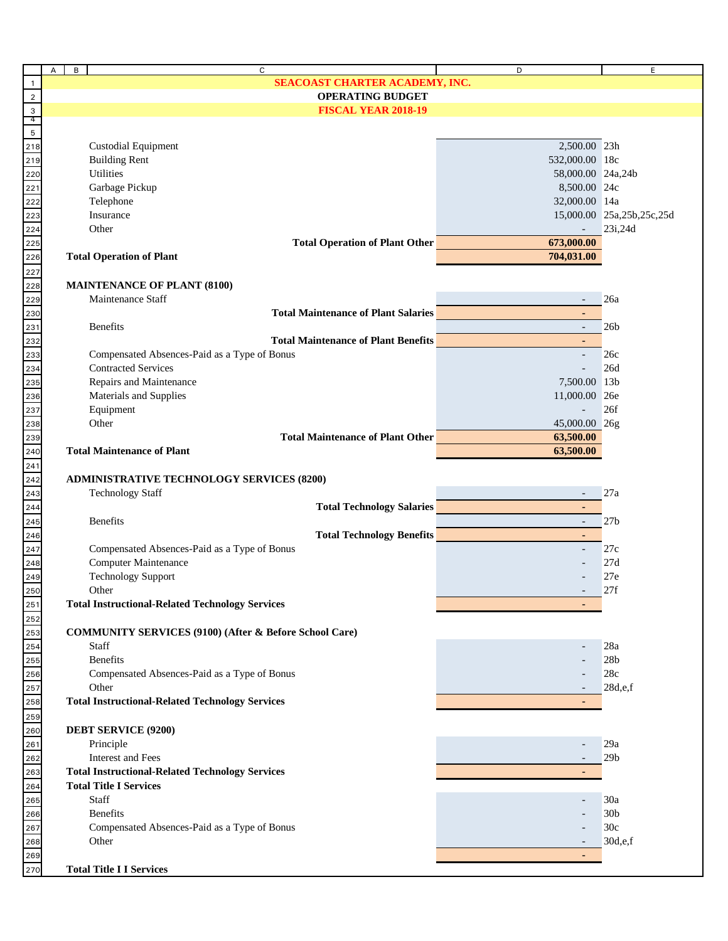|                                               | A<br>B | $\mathsf{C}$                                                      | D                                                                                                                                                                                                                                            | E.                        |
|-----------------------------------------------|--------|-------------------------------------------------------------------|----------------------------------------------------------------------------------------------------------------------------------------------------------------------------------------------------------------------------------------------|---------------------------|
| $\overline{1}$                                |        | SEACOAST CHARTER ACADEMY, INC.                                    |                                                                                                                                                                                                                                              |                           |
| $\overline{2}$                                |        | <b>OPERATING BUDGET</b>                                           |                                                                                                                                                                                                                                              |                           |
|                                               |        | <b>FISCAL YEAR 2018-19</b>                                        |                                                                                                                                                                                                                                              |                           |
| $\begin{array}{c} 3 \\ 4 \\ 5 \end{array}$    |        |                                                                   |                                                                                                                                                                                                                                              |                           |
|                                               |        |                                                                   |                                                                                                                                                                                                                                              |                           |
| 218                                           |        | <b>Custodial Equipment</b>                                        | 2,500.00 23h                                                                                                                                                                                                                                 |                           |
| 219                                           |        | <b>Building Rent</b>                                              | 532,000.00 18c                                                                                                                                                                                                                               |                           |
| 220                                           |        | Utilities                                                         | 58,000.00 24a,24b                                                                                                                                                                                                                            |                           |
| 221                                           |        | Garbage Pickup                                                    | 8,500.00 24c                                                                                                                                                                                                                                 |                           |
| 222                                           |        | Telephone                                                         | 32,000.00 14a                                                                                                                                                                                                                                |                           |
|                                               |        | Insurance                                                         |                                                                                                                                                                                                                                              | 15,000.00 25a,25b,25c,25d |
| 223<br>224<br>225<br>226                      |        | Other                                                             | $\Box$                                                                                                                                                                                                                                       | 23i,24d                   |
|                                               |        | <b>Total Operation of Plant Other CONSUMPRISE</b>                 | 673,000.00                                                                                                                                                                                                                                   |                           |
|                                               |        | <b>Total Operation of Plant</b>                                   | 704,031.00                                                                                                                                                                                                                                   |                           |
|                                               |        |                                                                   |                                                                                                                                                                                                                                              |                           |
| 227                                           |        |                                                                   |                                                                                                                                                                                                                                              |                           |
| 228                                           |        | <b>MAINTENANCE OF PLANT (8100)</b>                                |                                                                                                                                                                                                                                              |                           |
| <u>229</u>                                    |        | Maintenance Staff                                                 |                                                                                                                                                                                                                                              | 26a                       |
| 230<br>231                                    |        | <b>Total Maintenance of Plant Salaries</b>                        |                                                                                                                                                                                                                                              |                           |
|                                               |        | <b>Benefits</b>                                                   | $\blacksquare$                                                                                                                                                                                                                               | 26 <sub>b</sub>           |
| 232<br>233<br>234<br>235                      |        | <b>Total Maintenance of Plant Benefits</b>                        |                                                                                                                                                                                                                                              |                           |
|                                               |        | Compensated Absences-Paid as a Type of Bonus                      |                                                                                                                                                                                                                                              | 26c                       |
|                                               |        | <b>Contracted Services</b>                                        |                                                                                                                                                                                                                                              | 26d                       |
|                                               |        | Repairs and Maintenance                                           | 7,500.00 13b                                                                                                                                                                                                                                 |                           |
| <u>236</u>                                    |        | Materials and Supplies                                            | 11,000.00 26e                                                                                                                                                                                                                                |                           |
| 237                                           |        | Equipment                                                         |                                                                                                                                                                                                                                              | 26f                       |
| <u>238</u>                                    |        | Other                                                             | 45,000.00 26g                                                                                                                                                                                                                                |                           |
| 239                                           |        | <b>Total Maintenance of Plant Other</b>                           | 63,500.00                                                                                                                                                                                                                                    |                           |
|                                               |        | <b>Total Maintenance of Plant</b>                                 | 63,500.00                                                                                                                                                                                                                                    |                           |
| 240                                           |        |                                                                   |                                                                                                                                                                                                                                              |                           |
| 241                                           |        |                                                                   |                                                                                                                                                                                                                                              |                           |
| 242                                           |        | <b>ADMINISTRATIVE TECHNOLOGY SERVICES (8200)</b>                  |                                                                                                                                                                                                                                              |                           |
| 243<br>244<br>245<br>246<br>247<br>248<br>249 |        | <b>Technology Staff</b>                                           |                                                                                                                                                                                                                                              | 27a                       |
|                                               |        | Total Technology Salaries                                         | $\blacksquare$                                                                                                                                                                                                                               |                           |
|                                               |        | <b>Benefits</b>                                                   | $\sim$ $-$<br><u> 1980 - Jan Barbara (j. 1980)</u>                                                                                                                                                                                           | 27 <sub>b</sub>           |
|                                               |        |                                                                   | <b>Total Technology Benefits Contract of the Contract of Contract Contract of the Contract of Contract Oriental Contract of Contract Oriental Contract of Contract Oriental Contract of Contract Oriental Contract of Contract</b><br>$\sim$ |                           |
|                                               |        | Compensated Absences-Paid as a Type of Bonus                      |                                                                                                                                                                                                                                              | 27c                       |
|                                               |        | Computer Maintenance                                              |                                                                                                                                                                                                                                              | 27d                       |
|                                               |        | <b>Technology Support</b>                                         |                                                                                                                                                                                                                                              | 27e                       |
| 250                                           |        | Other                                                             |                                                                                                                                                                                                                                              | 27f                       |
| $\frac{251}{25}$                              |        | <b>Total Instructional-Related Technology Services</b>            |                                                                                                                                                                                                                                              |                           |
|                                               |        |                                                                   |                                                                                                                                                                                                                                              |                           |
|                                               |        | <b>COMMUNITY SERVICES (9100) (After &amp; Before School Care)</b> |                                                                                                                                                                                                                                              |                           |
| 252<br>253<br>254<br>255                      |        | Staff                                                             |                                                                                                                                                                                                                                              | 28a                       |
|                                               |        | Benefits                                                          |                                                                                                                                                                                                                                              | 28 <sub>b</sub>           |
| 256                                           |        | Compensated Absences-Paid as a Type of Bonus                      |                                                                                                                                                                                                                                              | 28c                       |
| 257                                           |        | Other                                                             |                                                                                                                                                                                                                                              | 28d,e,f                   |
|                                               |        |                                                                   |                                                                                                                                                                                                                                              |                           |
| 258                                           |        | <b>Total Instructional-Related Technology Services</b>            |                                                                                                                                                                                                                                              |                           |
| 259                                           |        |                                                                   |                                                                                                                                                                                                                                              |                           |
| 260                                           |        | <b>DEBT SERVICE (9200)</b>                                        |                                                                                                                                                                                                                                              |                           |
| 261                                           |        | Principle                                                         |                                                                                                                                                                                                                                              | 29a                       |
| <u>262</u>                                    |        | Interest and Fees                                                 |                                                                                                                                                                                                                                              | 29 <sub>b</sub>           |
| 263                                           |        | <b>Total Instructional-Related Technology Services</b>            |                                                                                                                                                                                                                                              |                           |
| 264                                           |        | <b>Total Title I Services</b>                                     |                                                                                                                                                                                                                                              |                           |
| 265                                           |        | Staff                                                             |                                                                                                                                                                                                                                              | 30a                       |
| 266                                           |        | <b>Benefits</b>                                                   |                                                                                                                                                                                                                                              | 30 <sub>b</sub>           |
|                                               |        | Compensated Absences-Paid as a Type of Bonus                      |                                                                                                                                                                                                                                              | 30c                       |
|                                               |        | Other                                                             |                                                                                                                                                                                                                                              | 30d,e,f                   |
| 267<br>268<br>269<br>270                      |        |                                                                   | $\sim$                                                                                                                                                                                                                                       |                           |
|                                               |        |                                                                   |                                                                                                                                                                                                                                              |                           |
|                                               |        | <b>Total Title I I Services</b>                                   |                                                                                                                                                                                                                                              |                           |